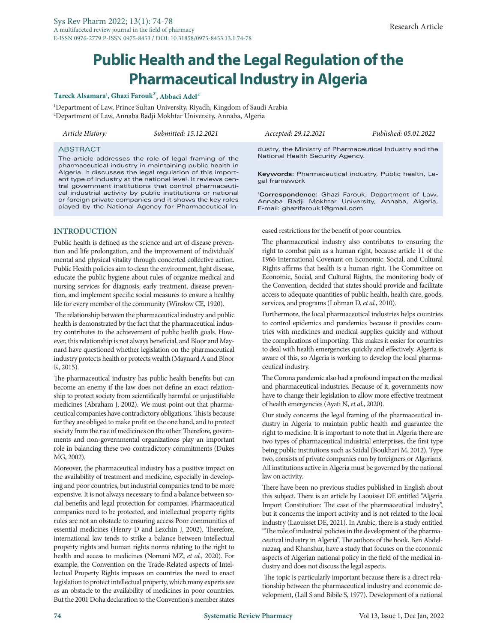# **Public Health and the Legal Regulation of the Pharmaceutical Industry in Algeria**

## **Tareck Alsamara<sup>1</sup> , Ghazi Farouk2\*, Abbaci Adel<sup>2</sup>**

1 Department of Law, Prince Sultan University, Riyadh, Kingdom of Saudi Arabia 2 Department of Law, Annaba Badji Mokhtar University, Annaba, Algeria

*Article History: Submitted: 15.12.2021 Accepted: 29.12.2021 Published: 05.01.2022*

#### **ABSTRACT**

The article addresses the role of legal framing of the pharmaceutical industry in maintaining public health in Algeria. It discusses the legal regulation of this important type of industry at the national level. It reviews central government institutions that control pharmaceutical industrial activity by public institutions or national or foreign private companies and it shows the key roles played by the National Agency for Pharmaceutical In-

## **INTRODUCTION**

Public health is defined as the science and art of disease prevention and life prolongation, and the improvement of individuals' mental and physical vitality through concerted collective action. Public Health policies aim to clean the environment, fight disease, educate the public hygiene about rules of organize medical and nursing services for diagnosis, early treatment, disease prevention, and implement specific social measures to ensure a healthy life for every member of the community (Winslow CE, 1920).

 The relationship between the pharmaceutical industry and public health is demonstrated by the fact that the pharmaceutical industry contributes to the achievement of public health goals. However, this relationship is not always beneficial, and Bloor and Maynard have questioned whether legislation on the pharmaceutical industry protects health or protects wealth (Maynard A and Bloor K, 2015).

The pharmaceutical industry has public health benefits but can become an enemy if the law does not define an exact relationship to protect society from scientifically harmful or unjustifiable medicines (Abraham J, 2002). We must point out that pharmaceutical companies have contradictory obligations. This is because for they are obliged to make profit on the one hand, and to protect society from the rise of medicines on the other. Therefore, governments and non-governmental organizations play an important role in balancing these two contradictory commitments (Dukes MG, 2002).

Moreover, the pharmaceutical industry has a positive impact on the availability of treatment and medicine, especially in developing and poor countries, but industrial companies tend to be more expensive. It is not always necessary to find a balance between social benefits and legal protection for companies. Pharmaceutical companies need to be protected, and intellectual property rights rules are not an obstacle to ensuring access Poor communities of essential medicines (Henry D and Lexchin J, 2002). Therefore, international law tends to strike a balance between intellectual property rights and human rights norms relating to the right to health and access to medicines (Nomani MZ, *et al.*, 2020). For example, the Convention on the Trade-Related aspects of Intellectual Property Rights imposes on countries the need to enact legislation to protect intellectual property, which many experts see as an obstacle to the availability of medicines in poor countries. But the 2001 Doha declaration to the Convention's member states

dustry, the Ministry of Pharmaceutical Industry and the National Health Security Agency.

**Keywords:** Pharmaceutical industry, Public health, Legal framework

**\* Correspondence:** Ghazi Farouk, Department of Law, Annaba Badji Mokhtar University, Annaba, Algeria, E-mail: ghazifarouk1@gmail.com

eased restrictions for the benefit of poor countries.

The pharmaceutical industry also contributes to ensuring the right to combat pain as a human right, because article 11 of the 1966 International Covenant on Economic, Social, and Cultural Rights affirms that health is a human right. The Committee on Economic, Social, and Cultural Rights, the monitoring body of the Convention, decided that states should provide and facilitate access to adequate quantities of public health, health care, goods, services, and programs (Lohman D, *et al.*, 2010).

Furthermore, the local pharmaceutical industries helps countries to control epidemics and pandemics because it provides countries with medicines and medical supplies quickly and without the complications of importing. This makes it easier for countries to deal with health emergencies quickly and effectively. Algeria is aware of this, so Algeria is working to develop the local pharmaceutical industry.

The Corona pandemic also had a profound impact on the medical and pharmaceutical industries. Because of it, governments now have to change their legislation to allow more effective treatment of health emergencies (Ayati N, *et al.*, 2020).

Our study concerns the legal framing of the pharmaceutical industry in Algeria to maintain public health and guarantee the right to medicine. It is important to note that in Algeria there are two types of pharmaceutical industrial enterprises, the first type being public institutions such as Saidal (Boukhari M, 2012). Type two, consists of private companies run by foreigners or Algerians. All institutions active in Algeria must be governed by the national law on activity.

There have been no previous studies published in English about this subject. There is an article by Laouisset DE entitled "Algeria Import Constitution: The case of the pharmaceutical industry", but it concerns the import activity and is not related to the local industry (Laouisset DE, 2021). In Arabic, there is a study entitled "The role of industrial policies in the development of the pharmaceutical industry in Algeria". The authors of the book, Ben Abdelrazzaq, and Khanshur, have a study that focuses on the economic aspects of Algerian national policy in the field of the medical industry and does not discuss the legal aspects.

 The topic is particularly important because there is a direct relationship between the pharmaceutical industry and economic development, (Lall S and Bibile S, 1977). Development of a national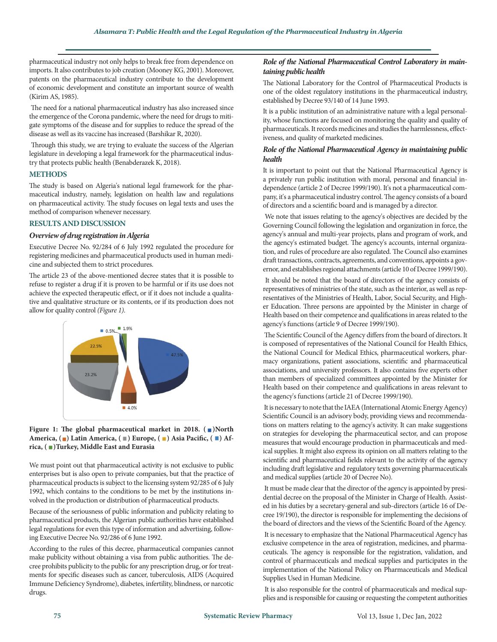pharmaceutical industry not only helps to break free from dependence on imports. It also contributes to job creation (Mooney KG, 2001). Moreover, patents on the pharmaceutical industry contribute to the development of economic development and constitute an important source of wealth (Kirim AS, 1985).

 The need for a national pharmaceutical industry has also increased since the emergence of the Corona pandemic, where the need for drugs to mitigate symptoms of the disease and for supplies to reduce the spread of the disease as well as its vaccine has increased (Barshikar R, 2020).

 Through this study, we are trying to evaluate the success of the Algerian legislature in developing a legal framework for the pharmaceutical industry that protects public health (Benabderazek K, 2018).

#### **METHODS**

The study is based on Algeria's national legal framework for the pharmaceutical industry, namely, legislation on health law and regulations on pharmaceutical activity. The study focuses on legal texts and uses the method of comparison whenever necessary.

## **RESULTS AND DISCUSSION**

#### *Overview of drug registration in Algeria*

Executive Decree No. 92/284 of 6 July 1992 regulated the procedure for registering medicines and pharmaceutical products used in human medicine and subjected them to strict procedures.

The article 23 of the above-mentioned decree states that it is possible to refuse to register a drug if it is proven to be harmful or if its use does not achieve the expected therapeutic effect, or if it does not include a qualitative and qualitative structure or its contents, or if its production does not allow for quality control *(Figure 1)*.





We must point out that pharmaceutical activity is not exclusive to public enterprises but is also open to private companies, but that the practice of pharmaceutical products is subject to the licensing system 92/285 of 6 July 1992, which contains to the conditions to be met by the institutions involved in the production or distribution of pharmaceutical products.

Because of the seriousness of public information and publicity relating to pharmaceutical products, the Algerian public authorities have established legal regulations for even this type of information and advertising, following Executive Decree No. 92/286 of 6 June 1992.

According to the rules of this decree, pharmaceutical companies cannot make publicity without obtaining a visa from public authorities. The decree prohibits publicity to the public for any prescription drug, or for treatments for specific diseases such as cancer, tuberculosis, AIDS (Acquired Immune Deficiency Syndrome), diabetes, infertility, blindness, or narcotic drugs.

## *Role of the National Pharmaceutical Control Laboratory in maintaining public health*

The National Laboratory for the Control of Pharmaceutical Products is one of the oldest regulatory institutions in the pharmaceutical industry, established by Decree 93/140 of 14 June 1993.

It is a public institution of an administrative nature with a legal personality, whose functions are focused on monitoring the quality and quality of pharmaceuticals. It records medicines and studies the harmlessness, effectiveness, and quality of marketed medicines.

## *Role of the National Pharmaceutical Agency in maintaining public health*

It is important to point out that the National Pharmaceutical Agency is a privately run public institution with moral, personal and financial independence (article 2 of Decree 1999/190). It's not a pharmaceutical company, it's a pharmaceutical industry control. The agency consists of a board of directors and a scientific board and is managed by a director.

 We note that issues relating to the agency's objectives are decided by the Governing Council following the legislation and organization in force, the agency's annual and multi-year projects, plans and program of work, and the agency's estimated budget. The agency's accounts, internal organization, and rules of procedure are also regulated. The Council also examines draft transactions, contracts, agreements, and conventions, appoints a governor, and establishes regional attachments (article 10 of Decree 1999/190).

 It should be noted that the board of directors of the agency consists of representatives of ministries of the state, such as the interior, as well as representatives of the Ministries of Health, Labor, Social Security, and Higher Education. Three persons are appointed by the Minister in charge of Health based on their competence and qualifications in areas related to the agency's functions (article 9 of Decree 1999/190).

 The Scientific Council of the Agency differs from the board of directors. It is composed of representatives of the National Council for Health Ethics, the National Council for Medical Ethics, pharmaceutical workers, pharmacy organizations, patient associations, scientific and pharmaceutical associations, and university professors. It also contains five experts other than members of specialized committees appointed by the Minister for Health based on their competence and qualifications in areas relevant to the agency's functions (article 21 of Decree 1999/190).

 It is necessary to note that the IAEA (International Atomic Energy Agency) Scientific Council is an advisory body, providing views and recommendations on matters relating to the agency's activity. It can make suggestions on strategies for developing the pharmaceutical sector, and can propose measures that would encourage production in pharmaceuticals and medical supplies. It might also express its opinion on all matters relating to the scientific and pharmaceutical fields relevant to the activity of the agency including draft legislative and regulatory texts governing pharmaceuticals and medical supplies (article 20 of Decree No).

 It must be made clear that the director of the agency is appointed by presidential decree on the proposal of the Minister in Charge of Health. Assisted in his duties by a secretary-general and sub-directors (article 16 of Decree 19/190), the director is responsible for implementing the decisions of the board of directors and the views of the Scientific Board of the Agency.

 It is necessary to emphasize that the National Pharmaceutical Agency has exclusive competence in the area of registration, medicines, and pharmaceuticals. The agency is responsible for the registration, validation, and control of pharmaceuticals and medical supplies and participates in the implementation of the National Policy on Pharmaceuticals and Medical Supplies Used in Human Medicine.

 It is also responsible for the control of pharmaceuticals and medical supplies and is responsible for causing or requesting the competent authorities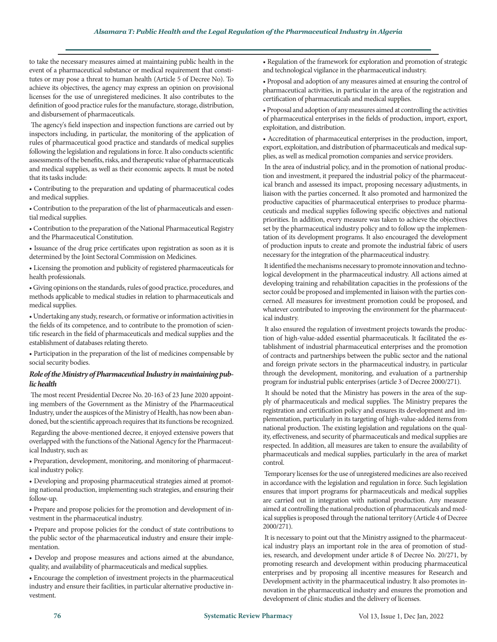to take the necessary measures aimed at maintaining public health in the event of a pharmaceutical substance or medical requirement that constitutes or may pose a threat to human health (Article 5 of Decree No). To achieve its objectives, the agency may express an opinion on provisional licenses for the use of unregistered medicines. It also contributes to the definition of good practice rules for the manufacture, storage, distribution, and disbursement of pharmaceuticals.

 The agency's field inspection and inspection functions are carried out by inspectors including, in particular, the monitoring of the application of rules of pharmaceutical good practice and standards of medical supplies following the legislation and regulations in force. It also conducts scientific assessments of the benefits, risks, and therapeutic value of pharmaceuticals and medical supplies, as well as their economic aspects. It must be noted that its tasks include:

• Contributing to the preparation and updating of pharmaceutical codes and medical supplies.

• Contribution to the preparation of the list of pharmaceuticals and essential medical supplies.

• Contribution to the preparation of the National Pharmaceutical Registry and the Pharmaceutical Constitution.

• Issuance of the drug price certificates upon registration as soon as it is determined by the Joint Sectoral Commission on Medicines.

• Licensing the promotion and publicity of registered pharmaceuticals for health professionals.

• Giving opinions on the standards, rules of good practice, procedures, and methods applicable to medical studies in relation to pharmaceuticals and medical supplies.

• Undertaking any study, research, or formative or information activities in the fields of its competence, and to contribute to the promotion of scientific research in the field of pharmaceuticals and medical supplies and the establishment of databases relating thereto.

• Participation in the preparation of the list of medicines compensable by social security bodies.

## *Role of the Ministry of Pharmaceutical Industry in maintaining public health*

 The most recent Presidential Decree No. 20-163 of 23 June 2020 appointing members of the Government as the Ministry of the Pharmaceutical Industry, under the auspices of the Ministry of Health, has now been abandoned, but the scientific approach requires that its functions be recognized.

 Regarding the above-mentioned decree, it enjoyed extensive powers that overlapped with the functions of the National Agency for the Pharmaceutical Industry, such as:

• Preparation, development, monitoring, and monitoring of pharmaceutical industry policy.

• Developing and proposing pharmaceutical strategies aimed at promoting national production, implementing such strategies, and ensuring their follow-up.

• Prepare and propose policies for the promotion and development of investment in the pharmaceutical industry.

• Prepare and propose policies for the conduct of state contributions to the public sector of the pharmaceutical industry and ensure their implementation.

• Develop and propose measures and actions aimed at the abundance, quality, and availability of pharmaceuticals and medical supplies.

• Encourage the completion of investment projects in the pharmaceutical industry and ensure their facilities, in particular alternative productive investment.

• Regulation of the framework for exploration and promotion of strategic and technological vigilance in the pharmaceutical industry.

• Proposal and adoption of any measures aimed at ensuring the control of pharmaceutical activities, in particular in the area of the registration and certification of pharmaceuticals and medical supplies.

• Proposal and adoption of any measures aimed at controlling the activities of pharmaceutical enterprises in the fields of production, import, export, exploitation, and distribution.

• Accreditation of pharmaceutical enterprises in the production, import, export, exploitation, and distribution of pharmaceuticals and medical supplies, as well as medical promotion companies and service providers.

 In the area of industrial policy, and in the promotion of national production and investment, it prepared the industrial policy of the pharmaceutical branch and assessed its impact, proposing necessary adjustments, in liaison with the parties concerned. It also promoted and harmonized the productive capacities of pharmaceutical enterprises to produce pharmaceuticals and medical supplies following specific objectives and national priorities. In addition, every measure was taken to achieve the objectives set by the pharmaceutical industry policy and to follow up the implementation of its development programs. It also encouraged the development of production inputs to create and promote the industrial fabric of users necessary for the integration of the pharmaceutical industry.

 It identified the mechanisms necessary to promote innovation and technological development in the pharmaceutical industry. All actions aimed at developing training and rehabilitation capacities in the professions of the sector could be proposed and implemented in liaison with the parties concerned. All measures for investment promotion could be proposed, and whatever contributed to improving the environment for the pharmaceutical industry.

 It also ensured the regulation of investment projects towards the production of high-value-added essential pharmaceuticals. It facilitated the establishment of industrial pharmaceutical enterprises and the promotion of contracts and partnerships between the public sector and the national and foreign private sectors in the pharmaceutical industry, in particular through the development, monitoring, and evaluation of a partnership program for industrial public enterprises (article 3 of Decree 2000/271).

 It should be noted that the Ministry has powers in the area of the supply of pharmaceuticals and medical supplies. The Ministry prepares the registration and certification policy and ensures its development and implementation, particularly in its targeting of high-value-added items from national production. The existing legislation and regulations on the quality, effectiveness, and security of pharmaceuticals and medical supplies are respected. In addition, all measures are taken to ensure the availability of pharmaceuticals and medical supplies, particularly in the area of market control.

 Temporary licenses for the use of unregistered medicines are also received in accordance with the legislation and regulation in force. Such legislation ensures that import programs for pharmaceuticals and medical supplies are carried out in integration with national production. Any measure aimed at controlling the national production of pharmaceuticals and medical supplies is proposed through the national territory (Article 4 of Decree 2000/271).

 It is necessary to point out that the Ministry assigned to the pharmaceutical industry plays an important role in the area of promotion of studies, research, and development under article 8 of Decree No. 20/271, by promoting research and development within producing pharmaceutical enterprises and by proposing all incentive measures for Research and Development activity in the pharmaceutical industry. It also promotes innovation in the pharmaceutical industry and ensures the promotion and development of clinic studies and the delivery of licenses.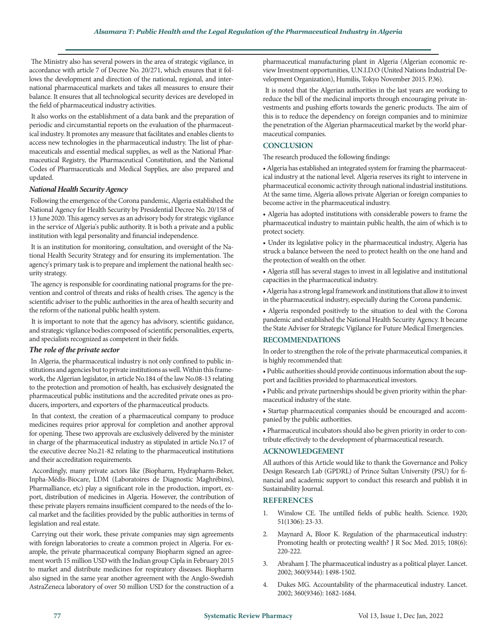The Ministry also has several powers in the area of strategic vigilance, in accordance with article 7 of Decree No. 20/271, which ensures that it follows the development and direction of the national, regional, and international pharmaceutical markets and takes all measures to ensure their balance. It ensures that all technological security devices are developed in the field of pharmaceutical industry activities.

 It also works on the establishment of a data bank and the preparation of periodic and circumstantial reports on the evaluation of the pharmaceutical industry. It promotes any measure that facilitates and enables clients to access new technologies in the pharmaceutical industry. The list of pharmaceuticals and essential medical supplies, as well as the National Pharmaceutical Registry, the Pharmaceutical Constitution, and the National Codes of Pharmaceuticals and Medical Supplies, are also prepared and updated.

#### *National Health Security Agency*

 Following the emergence of the Corona pandemic, Algeria established the National Agency for Health Security by Presidential Decree No. 20/158 of 13 June 2020. This agency serves as an advisory body for strategic vigilance in the service of Algeria's public authority. It is both a private and a public institution with legal personality and financial independence.

 It is an institution for monitoring, consultation, and oversight of the National Health Security Strategy and for ensuring its implementation. The agency's primary task is to prepare and implement the national health security strategy.

 The agency is responsible for coordinating national programs for the prevention and control of threats and risks of health crises. The agency is the scientific adviser to the public authorities in the area of health security and the reform of the national public health system.

 It is important to note that the agency has advisory, scientific guidance, and strategic vigilance bodies composed of scientific personalities, experts, and specialists recognized as competent in their fields.

#### *The role of the private sector*

 In Algeria, the pharmaceutical industry is not only confined to public institutions and agencies but to private institutions as well. Within this framework, the Algerian legislator, in article No.184 of the law No.08-13 relating to the protection and promotion of health, has exclusively designated the pharmaceutical public institutions and the accredited private ones as producers, importers, and exporters of the pharmaceutical products.

 In that context, the creation of a pharmaceutical company to produce medicines requires prior approval for completion and another approval for opening. These two approvals are exclusively delivered by the minister in charge of the pharmaceutical industry as stipulated in article No.17 of the executive decree No.21-82 relating to the pharmaceutical institutions and their accreditation requirements.

 Accordingly, many private actors like (Biopharm, Hydrapharm-Beker, Inpha-Médis-Biocare, LDM (Laboratoires de Diagnostic Maghrébins), Pharmalliance, etc) play a significant role in the production, import, export, distribution of medicines in Algeria. However, the contribution of these private players remains insufficient compared to the needs of the local market and the facilities provided by the public authorities in terms of legislation and real estate.

 Carrying out their work, these private companies may sign agreements with foreign laboratories to create a common project in Algeria. For example, the private pharmaceutical company Biopharm signed an agreement worth 15 million USD with the Indian group Cipla in February 2015 to market and distribute medicines for respiratory diseases. Biopharm also signed in the same year another agreement with the Anglo-Swedish AstraZeneca laboratory of over 50 million USD for the construction of a pharmaceutical manufacturing plant in Algeria (Algerian economic review Investment opportunities, U.N.I.D.O (United Nations Industrial Development Organization), Humilis, Tokyo November 2015. P.36).

 It is noted that the Algerian authorities in the last years are working to reduce the bill of the medicinal imports through encouraging private investments and pushing efforts towards the generic products. The aim of this is to reduce the dependency on foreign companies and to minimize the penetration of the Algerian pharmaceutical market by the world pharmaceutical companies.

## **CONCLUSION**

The research produced the following findings:

• Algeria has established an integrated system for framing the pharmaceutical industry at the national level. Algeria reserves its right to intervene in pharmaceutical economic activity through national industrial institutions. At the same time, Algeria allows private Algerian or foreign companies to become active in the pharmaceutical industry.

• Algeria has adopted institutions with considerable powers to frame the pharmaceutical industry to maintain public health, the aim of which is to protect society.

• Under its legislative policy in the pharmaceutical industry, Algeria has struck a balance between the need to protect health on the one hand and the protection of wealth on the other.

• Algeria still has several stages to invest in all legislative and institutional capacities in the pharmaceutical industry.

• Algeria has a strong legal framework and institutions that allow it to invest in the pharmaceutical industry, especially during the Corona pandemic.

• Algeria responded positively to the situation to deal with the Corona pandemic and established the National Health Security Agency. It became the State Adviser for Strategic Vigilance for Future Medical Emergencies.

#### **RECOMMENDATIONS**

In order to strengthen the role of the private pharmaceutical companies, it is highly recommended that:

• Public authorities should provide continuous information about the support and facilities provided to pharmaceutical investors.

• Public and private partnerships should be given priority within the pharmaceutical industry of the state.

• Startup pharmaceutical companies should be encouraged and accompanied by the public authorities.

• Pharmaceutical incubators should also be given priority in order to contribute effectively to the development of pharmaceutical research.

#### **ACKNOWLEDGEMENT**

All authors of this Article would like to thank the Governance and Policy Design Research Lab (GPDRL) of Prince Sultan University (PSU) for financial and academic support to conduct this research and publish it in Sustainability Journal.

#### **REFERENCES**

- 1. Winslow CE. [The untilled fields of public health.](https://www.science.org/doi/pdf/10.1126/science.51.1306.23) Science. 1920; 51(1306): 23-33.
- 2. Maynard A, Bloor K. [Regulation of the pharmaceutical industry:](https://journals.sagepub.com/doi/10.1177/0141076814568299)  [Promoting health or protecting wealth?](https://journals.sagepub.com/doi/10.1177/0141076814568299) J R Soc Med. 2015; 108(6): 220-222.
- 3. Abraham J. [The pharmaceutical industry as a political player.](https://www.thelancet.com/journals/lancet/article/PIIS0140-6736(02)11477-2/fulltext) Lancet. 2002; 360(9344): 1498-1502.
- 4. Dukes MG. [Accountability of the pharmaceutical industry.](https://www.thelancet.com/journals/lancet/article/PIIS0140-6736(02)11599-6/fulltext) Lancet. 2002; 360(9346): 1682-1684.